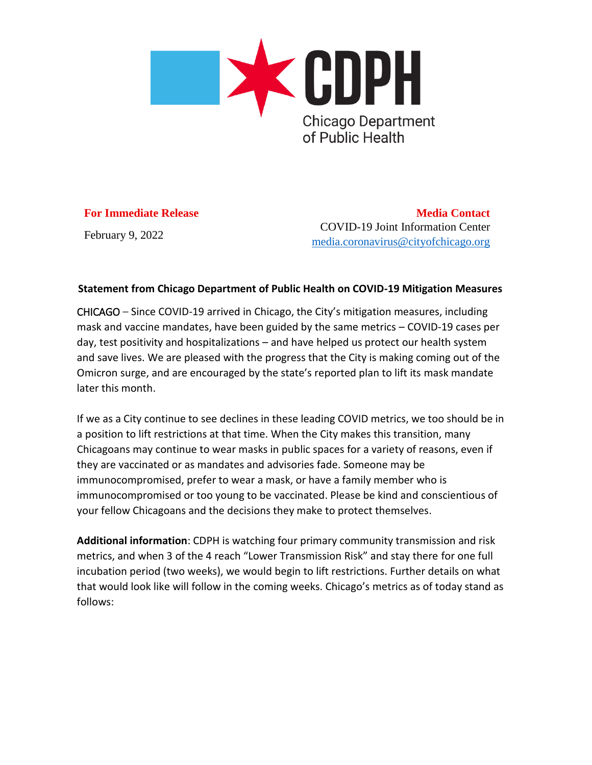

## **For Immediate Release**

February 9, 2022

**Media Contact** COVID-19 Joint Information Center [media.coronavirus@cityofchicago.org](https://click.citynews.chicago.gov/?qs=34dc7439cd153501c28e09edaa926f7c2cc9460afa174d4de3b4e7796e8792e72f9281afc40af01687dafadcc49981b4edde20a9c7f1ccfd)

## **Statement from Chicago Department of Public Health on COVID-19 Mitigation Measures**

CHICAGO – Since COVID-19 arrived in Chicago, the City's mitigation measures, including mask and vaccine mandates, have been guided by the same metrics – COVID-19 cases per day, test positivity and hospitalizations – and have helped us protect our health system and save lives. We are pleased with the progress that the City is making coming out of the Omicron surge, and are encouraged by the state's reported plan to lift its mask mandate later this month.

If we as a City continue to see declines in these leading COVID metrics, we too should be in a position to lift restrictions at that time. When the City makes this transition, many Chicagoans may continue to wear masks in public spaces for a variety of reasons, even if they are vaccinated or as mandates and advisories fade. Someone may be immunocompromised, prefer to wear a mask, or have a family member who is immunocompromised or too young to be vaccinated. Please be kind and conscientious of your fellow Chicagoans and the decisions they make to protect themselves.

**Additional information**: CDPH is watching four primary community transmission and risk metrics, and when 3 of the 4 reach "Lower Transmission Risk" and stay there for one full incubation period (two weeks), we would begin to lift restrictions. Further details on what that would look like will follow in the coming weeks. Chicago's metrics as of today stand as follows: